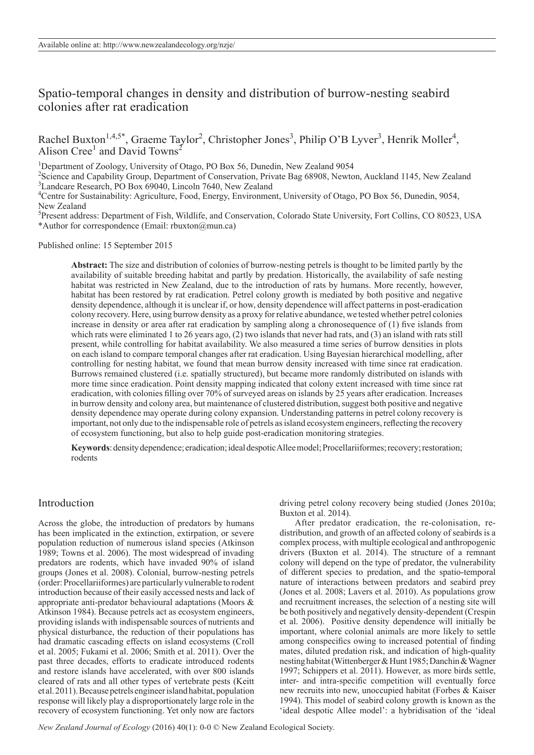# Spatio-temporal changes in density and distribution of burrow-nesting seabird colonies after rat eradication

Rachel Buxton<sup>1,4,5\*</sup>, Graeme Taylor<sup>2</sup>, Christopher Jones<sup>3</sup>, Philip O'B Lyver<sup>3</sup>, Henrik Moller<sup>4</sup>, Alison Cree<sup>1</sup> and David Towns<sup>2</sup>

<sup>1</sup>Department of Zoology, University of Otago, PO Box 56, Dunedin, New Zealand 9054

<sup>2</sup>Science and Capability Group, Department of Conservation, Private Bag 68908, Newton, Auckland 1145, New Zealand <sup>3</sup>Landcare Research, PO Box 69040, Lincoln 7640, New Zealand

<sup>4</sup>Centre for Sustainability: Agriculture, Food, Energy, Environment, University of Otago, PO Box 56, Dunedin, 9054, New Zealand

5 Present address: Department of Fish, Wildlife, and Conservation, Colorado State University, Fort Collins, CO 80523, USA \*Author for correspondence (Email: rbuxton@mun.ca)

Published online: 15 September 2015

**Abstract:** The size and distribution of colonies of burrow-nesting petrels is thought to be limited partly by the availability of suitable breeding habitat and partly by predation. Historically, the availability of safe nesting habitat was restricted in New Zealand, due to the introduction of rats by humans. More recently, however, habitat has been restored by rat eradication. Petrel colony growth is mediated by both positive and negative density dependence, although it is unclear if, or how, density dependence will affect patterns in post-eradication colony recovery. Here, using burrow density as a proxy for relative abundance, we tested whether petrel colonies increase in density or area after rat eradication by sampling along a chronosequence of (1) five islands from which rats were eliminated 1 to 26 years ago, (2) two islands that never had rats, and (3) an island with rats still present, while controlling for habitat availability. We also measured a time series of burrow densities in plots on each island to compare temporal changes after rat eradication. Using Bayesian hierarchical modelling, after controlling for nesting habitat, we found that mean burrow density increased with time since rat eradication. Burrows remained clustered (i.e. spatially structured), but became more randomly distributed on islands with more time since eradication. Point density mapping indicated that colony extent increased with time since rat eradication, with colonies filling over 70% of surveyed areas on islands by 25 years after eradication. Increases in burrow density and colony area, but maintenance of clustered distribution, suggest both positive and negative density dependence may operate during colony expansion. Understanding patterns in petrel colony recovery is important, not only due to the indispensable role of petrels as island ecosystem engineers, reflecting the recovery of ecosystem functioning, but also to help guide post-eradication monitoring strategies.

**Keywords**: density dependence; eradication; ideal despotic Allee model; Procellariiformes; recovery; restoration; rodents

# Introduction

Across the globe, the introduction of predators by humans has been implicated in the extinction, extirpation, or severe population reduction of numerous island species (Atkinson 1989; Towns et al. 2006). The most widespread of invading predators are rodents, which have invaded 90% of island groups (Jones et al. 2008). Colonial, burrow-nesting petrels (order: Procellariiformes) are particularly vulnerable to rodent introduction because of their easily accessed nests and lack of appropriate anti-predator behavioural adaptations (Moors & Atkinson 1984). Because petrels act as ecosystem engineers, providing islands with indispensable sources of nutrients and physical disturbance, the reduction of their populations has had dramatic cascading effects on island ecosystems (Croll et al. 2005; Fukami et al. 2006; Smith et al. 2011). Over the past three decades, efforts to eradicate introduced rodents and restore islands have accelerated, with over 800 islands cleared of rats and all other types of vertebrate pests (Keitt et al. 2011). Because petrels engineer island habitat, population response will likely play a disproportionately large role in the recovery of ecosystem functioning. Yet only now are factors driving petrel colony recovery being studied (Jones 2010a; Buxton et al. 2014).

After predator eradication, the re-colonisation, redistribution, and growth of an affected colony of seabirds is a complex process, with multiple ecological and anthropogenic drivers (Buxton et al. 2014). The structure of a remnant colony will depend on the type of predator, the vulnerability of different species to predation, and the spatio-temporal nature of interactions between predators and seabird prey (Jones et al. 2008; Lavers et al. 2010). As populations grow and recruitment increases, the selection of a nesting site will be both positively and negatively density-dependent (Crespin et al. 2006). Positive density dependence will initially be important, where colonial animals are more likely to settle among conspecifics owing to increased potential of finding mates, diluted predation risk, and indication of high-quality nesting habitat (Wittenberger & Hunt 1985; Danchin & Wagner 1997; Schippers et al. 2011). However, as more birds settle, inter- and intra-specific competition will eventually force new recruits into new, unoccupied habitat (Forbes & Kaiser 1994). This model of seabird colony growth is known as the 'ideal despotic Allee model': a hybridisation of the 'ideal

*New Zealand Journal of Ecology* (2016) 40(1): 0-0 © New Zealand Ecological Society.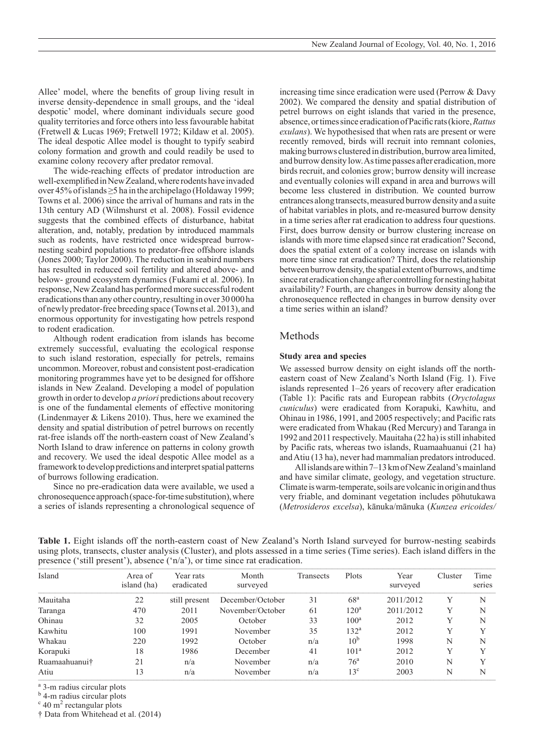Allee' model, where the benefits of group living result in inverse density-dependence in small groups, and the 'ideal despotic' model, where dominant individuals secure good quality territories and force others into less favourable habitat (Fretwell & Lucas 1969; Fretwell 1972; Kildaw et al. 2005). The ideal despotic Allee model is thought to typify seabird colony formation and growth and could readily be used to examine colony recovery after predator removal.

The wide-reaching effects of predator introduction are well-exemplified in NewZealand, where rodents have invaded over 45% of islands ≥5 ha in the archipelago (Holdaway 1999; Towns et al. 2006) since the arrival of humans and rats in the 13th century AD (Wilmshurst et al. 2008). Fossil evidence suggests that the combined effects of disturbance, habitat alteration, and, notably, predation by introduced mammals such as rodents, have restricted once widespread burrownesting seabird populations to predator-free offshore islands (Jones 2000; Taylor 2000). The reduction in seabird numbers has resulted in reduced soil fertility and altered above- and below- ground ecosystem dynamics (Fukami et al. 2006). In response, New Zealand has performed more successful rodent eradications than any other country, resulting in over 30 000 ha of newly predator-free breeding space (Towns et al. 2013), and enormous opportunity for investigating how petrels respond to rodent eradication.

Although rodent eradication from islands has become extremely successful, evaluating the ecological response to such island restoration, especially for petrels, remains uncommon. Moreover, robust and consistent post-eradication monitoring programmes have yet to be designed for offshore islands in New Zealand. Developing a model of population growth in order to develop *a priori* predictions about recovery is one of the fundamental elements of effective monitoring (Lindenmayer & Likens 2010). Thus, here we examined the density and spatial distribution of petrel burrows on recently rat-free islands off the north-eastern coast of New Zealand's North Island to draw inference on patterns in colony growth and recovery. We used the ideal despotic Allee model as a framework to develop predictions and interpret spatial patterns of burrows following eradication.

Since no pre-eradication data were available, we used a chronosequence approach (space-for-time substitution), where a series of islands representing a chronological sequence of increasing time since eradication were used (Perrow & Davy 2002). We compared the density and spatial distribution of petrel burrows on eight islands that varied in the presence, absence, or times since eradication of Pacific rats (kiore, *Rattus exulans*). We hypothesised that when rats are present or were recently removed, birds will recruit into remnant colonies, making burrows clustered in distribution, burrow area limited, and burrow density low. As time passes after eradication, more birds recruit, and colonies grow; burrow density will increase and eventually colonies will expand in area and burrows will become less clustered in distribution. We counted burrow entrances along transects, measured burrow density and a suite of habitat variables in plots, and re-measured burrow density in a time series after rat eradication to address four questions. First, does burrow density or burrow clustering increase on islands with more time elapsed since rat eradication? Second, does the spatial extent of a colony increase on islands with more time since rat eradication? Third, does the relationship between burrow density, the spatial extent of burrows, and time since rat eradication change after controlling for nesting habitat availability? Fourth, are changes in burrow density along the chronosequence reflected in changes in burrow density over a time series within an island?

### Methods

#### **Study area and species**

We assessed burrow density on eight islands off the northeastern coast of New Zealand's North Island (Fig. 1). Five islands represented 1–26 years of recovery after eradication (Table 1): Pacific rats and European rabbits (*Oryctolagus cuniculus*) were eradicated from Korapuki, Kawhitu, and Ohinau in 1986, 1991, and 2005 respectively; and Pacific rats were eradicated from Whakau (Red Mercury) and Taranga in 1992 and 2011 respectively. Mauitaha (22 ha) is still inhabited by Pacific rats, whereas two islands, Ruamaahuanui (21 ha) and Atiu (13 ha), never had mammalian predators introduced.

All islands are within 7–13 km of NewZealand's mainland and have similar climate, geology, and vegetation structure. Climate is warm-temperate, soils are volcanic in origin and thus very friable, and dominant vegetation includes pōhutukawa (*Metrosideros excelsa*), kānuka/mānuka (*Kunzea ericoides/*

| presence ( $\sin$ present ), absence ( $\sin a$ ), or three since rat cradication. |                        |                         |                   |           |                  |                  |         |                |
|------------------------------------------------------------------------------------|------------------------|-------------------------|-------------------|-----------|------------------|------------------|---------|----------------|
| Island                                                                             | Area of<br>island (ha) | Year rats<br>eradicated | Month<br>surveyed | Transects | Plots            | Year<br>surveyed | Cluster | Time<br>series |
| Mauitaha                                                                           | 22                     | still present           | December/October  | 31        | 68 <sup>a</sup>  | 2011/2012        |         | N              |
| Taranga                                                                            | 470                    | 2011                    | November/October  | 61        | $120^{\rm a}$    | 2011/2012        | Y       | N              |
| Ohinau                                                                             | 32                     | 2005                    | October           | 33        | 100 <sup>a</sup> | 2012             | Y       | N              |
| Kawhitu                                                                            | 100                    | 1991                    | November          | 35        | 132 <sup>a</sup> | 2012             |         |                |
| Whakau                                                                             | 220                    | 1992                    | October           | n/a       | 10 <sup>b</sup>  | 1998             | N       | N              |
| Korapuki                                                                           | 18                     | 1986                    | December          | 41        | 101 <sup>a</sup> | 2012             | Y       |                |
| Ruamaahuanui†                                                                      | 21                     | n/a                     | November          | n/a       | 76 <sup>a</sup>  | 2010             | N       |                |
| Atiu                                                                               | 13                     | n/a                     | November          | n/a       | $13^{\circ}$     | 2003             | N       | N              |

**Table 1.** Eight islands off the north-eastern coast of New Zealand's North Island surveyed for burrow-nesting seabirds using plots, transects, cluster analysis (Cluster), and plots assessed in a time series (Time series). Each island differs in the presence ('still present'), absence  $({n}/a')$ , or time since rat eradication.

<sup>a</sup> 3-m radius circular plots

<sup>b</sup> 4-m radius circular plots

 $\rm c$  40 m<sup>2</sup> rectangular plots

† Data from Whitehead et al. (2014)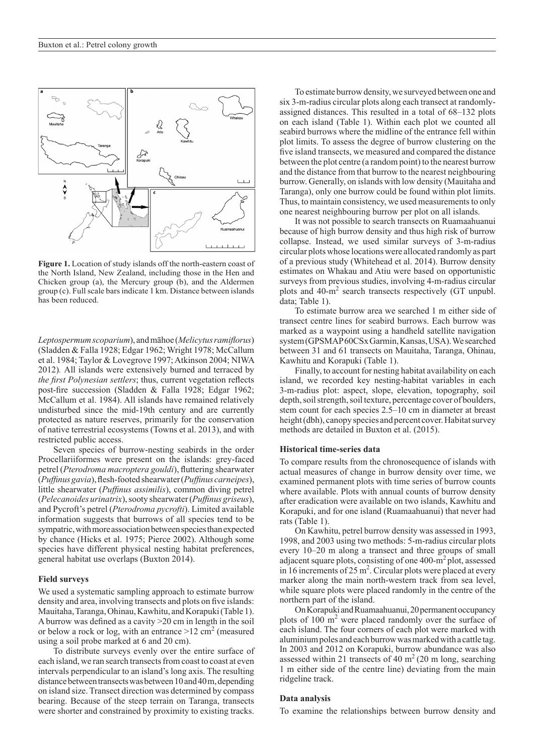

**Figure 1.** Location of study islands off the north-eastern coast of the North Island, New Zealand, including those in the Hen and Chicken group (a), the Mercury group (b), and the Aldermen group (c). Full scale bars indicate 1 km. Distance between islands has been reduced.

*Leptospermum scoparium*), and māhoe (*Melicytus ramiflorus*) (Sladden & Falla 1928; Edgar 1962; Wright 1978; McCallum et al. 1984; Taylor & Lovegrove 1997; Atkinson 2004; NIWA 2012)*.* All islands were extensively burned and terraced by *the first Polynesian settlers*; thus, current vegetation reflects post-fire succession (Sladden & Falla 1928; Edgar 1962; McCallum et al. 1984). All islands have remained relatively undisturbed since the mid-19th century and are currently protected as nature reserves, primarily for the conservation of native terrestrial ecosystems (Towns et al. 2013), and with restricted public access.

Seven species of burrow-nesting seabirds in the order Procellariiformes were present on the islands: grey-faced petrel (*Pterodroma macroptera gouldi*), fluttering shearwater (*Puffinus gavia*), flesh-footed shearwater (*Puffinus carneipes*), little shearwater (*Puffinus assimilis*), common diving petrel (*Pelecanoides urinatrix*), sooty shearwater (*Puffinus griseus*), and Pycroft's petrel (*Pterodroma pycrofti*). Limited available information suggests that burrows of all species tend to be sympatric, with more association between species than expected by chance (Hicks et al. 1975; Pierce 2002). Although some species have different physical nesting habitat preferences, general habitat use overlaps (Buxton 2014).

#### **Field surveys**

We used a systematic sampling approach to estimate burrow density and area, involving transects and plots on five islands: Mauitaha, Taranga, Ohinau, Kawhitu, and Korapuki (Table 1). A burrow was defined as a cavity >20 cm in length in the soil or below a rock or log, with an entrance  $>12$  cm<sup>2</sup> (measured using a soil probe marked at 6 and 20 cm).

To distribute surveys evenly over the entire surface of each island, we ran search transects from coast to coast at even intervals perpendicular to an island's long axis. The resulting distance between transects was between 10 and 40 m, depending on island size. Transect direction was determined by compass bearing. Because of the steep terrain on Taranga, transects were shorter and constrained by proximity to existing tracks.

To estimate burrow density, we surveyed between one and six 3-m-radius circular plots along each transect at randomlyassigned distances. This resulted in a total of 68–132 plots on each island (Table 1). Within each plot we counted all seabird burrows where the midline of the entrance fell within plot limits. To assess the degree of burrow clustering on the five island transects, we measured and compared the distance between the plot centre (a random point) to the nearest burrow and the distance from that burrow to the nearest neighbouring burrow. Generally, on islands with low density (Mauitaha and Taranga), only one burrow could be found within plot limits. Thus, to maintain consistency, we used measurements to only one nearest neighbouring burrow per plot on all islands.

It was not possible to search transects on Ruamaahuanui because of high burrow density and thus high risk of burrow collapse. Instead, we used similar surveys of 3-m-radius circular plots whose locations were allocated randomly as part of a previous study (Whitehead et al. 2014). Burrow density estimates on Whakau and Atiu were based on opportunistic surveys from previous studies, involving 4-m-radius circular plots and 40-m<sup>2</sup> search transects respectively (GT unpubl. data; Table 1).

To estimate burrow area we searched 1 m either side of transect centre lines for seabird burrows. Each burrow was marked as a waypoint using a handheld satellite navigation system (GPSMAP 60CSx Garmin, Kansas, USA). We searched between 31 and 61 transects on Mauitaha, Taranga, Ohinau, Kawhitu and Korapuki (Table 1).

Finally, to account for nesting habitat availability on each island, we recorded key nesting-habitat variables in each 3-m-radius plot: aspect, slope, elevation, topography, soil depth, soil strength, soil texture, percentage cover of boulders, stem count for each species 2.5–10 cm in diameter at breast height (dbh), canopy species and percent cover. Habitat survey methods are detailed in Buxton et al. (2015).

#### **Historical time-series data**

To compare results from the chronosequence of islands with actual measures of change in burrow density over time, we examined permanent plots with time series of burrow counts where available. Plots with annual counts of burrow density after eradication were available on two islands, Kawhitu and Korapuki, and for one island (Ruamaahuanui) that never had rats (Table 1).

On Kawhitu, petrel burrow density was assessed in 1993, 1998, and 2003 using two methods: 5-m-radius circular plots every 10–20 m along a transect and three groups of small adjacent square plots, consisting of one 400-m2 plot, assessed in 16 increments of  $25 \text{ m}^2$ . Circular plots were placed at every marker along the main north-western track from sea level, while square plots were placed randomly in the centre of the northern part of the island.

On Korapuki and Ruamaahuanui, 20 permanent occupancy plots of 100 m<sup>2</sup> were placed randomly over the surface of each island. The four corners of each plot were marked with aluminium poles and each burrow was marked with a cattle tag. In 2003 and 2012 on Korapuki, burrow abundance was also assessed within 21 transects of 40  $m<sup>2</sup>$  (20 m long, searching 1 m either side of the centre line) deviating from the main ridgeline track.

#### **Data analysis**

To examine the relationships between burrow density and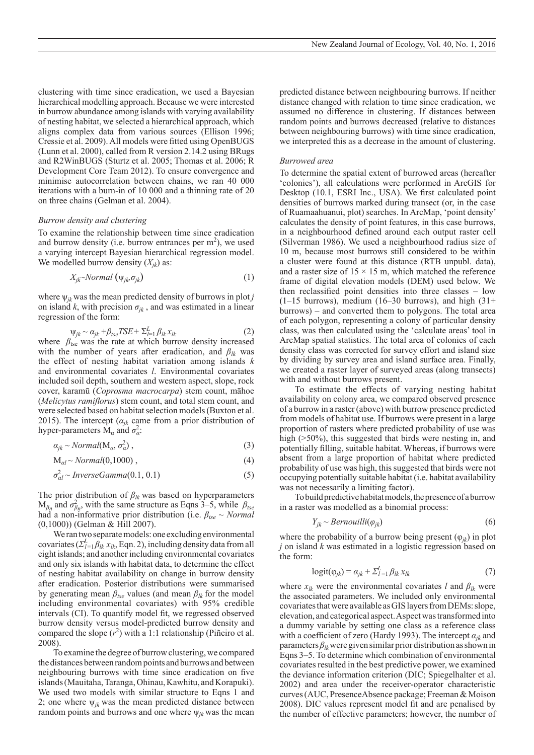clustering with time since eradication, we used a Bayesian hierarchical modelling approach. Because we were interested in burrow abundance among islands with varying availability of nesting habitat, we selected a hierarchical approach, which aligns complex data from various sources (Ellison 1996; Cressie et al. 2009). All models were fitted using OpenBUGS (Lunn et al. 2000), called from R version 2.14.2 using BRugs and R2WinBUGS (Sturtz et al. 2005; Thomas et al. 2006; R Development Core Team 2012). To ensure convergence and minimise autocorrelation between chains, we ran 40 000 iterations with a burn-in of 10 000 and a thinning rate of 20 on three chains (Gelman et al. 2004).

#### *Burrow density and clustering*

To examine the relationship between time since eradication and burrow density (i.e. burrow entrances per  $m<sup>2</sup>$ ), we used a varying intercept Bayesian hierarchical regression model. We modelled burrow density  $(X_{ik})$  as:

$$
X_{jk} \sim Normal\left(\psi_{jk}\sigma_{jk}\right) \tag{1}
$$

where  $\psi_{ik}$  was the mean predicted density of burrows in plot *j* on island *k*, with precision  $\sigma_{ik}$ , and was estimated in a linear regression of the form:

$$
\Psi_{jk} \sim \alpha_{jk} + \beta_{tse} TSE + \Sigma_{l=1}^{L} \beta_{lk} x_{lk}
$$
 (2)

where  $\beta_{\text{tse}}$  was the rate at which burrow density increased with the number of years after eradication, and  $\beta_{lk}$  was the effect of nesting habitat variation among islands *k*  and environmental covariates *l*. Environmental covariates included soil depth, southern and western aspect, slope, rock cover, karamū (*Coprosma macrocarpa*) stem count, māhoe (*Melicytus ramiflorus*) stem count, and total stem count, and were selected based on habitat selection models (Buxton et al. 2015). The intercept ( $\alpha_{ik}$  came from a prior distribution of hyper-parameters  $\dot{M}_\alpha$  and  $\sigma_\alpha^2$ .

$$
\alpha_{jk} \sim Normal(M_{\alpha}, \sigma_{\alpha}^2), \qquad (3)
$$

$$
M_{al} \sim Normal(0,1000), \qquad (4)
$$

$$
\sigma_{al}^2 \sim Inverse Gamma(0.1, 0.1) \tag{5}
$$

The prior distribution of *βlk* was based on hyperparameters  $M_{\beta n}$  and  $\sigma_{\beta n}^2$ , with the same structure as Eqns 3–5, while  $\beta_{\text{tse}}$ had a non-informative prior distribution (i.e. *βtse* ~ *Normal* (0,1000)) (Gelman & Hill 2007).

We ran two separate models: one excluding environmental covariates ( $\sum_{l=1}^{L} \hat{\beta_{lk}} x_{lk}$ , Eqn. 2), including density data from all eight islands; and another including environmental covariates and only six islands with habitat data, to determine the effect of nesting habitat availability on change in burrow density after eradication. Posterior distributions were summarised by generating mean  $\beta_{\text{tse}}$  values (and mean  $\beta_{\text{lk}}$  for the model including environmental covariates) with 95% credible intervals (CI). To quantify model fit, we regressed observed burrow density versus model-predicted burrow density and compared the slope  $(r^2)$  with a 1:1 relationship (Piñeiro et al. 2008).

To examine the degree of burrow clustering, we compared the distances between random points and burrows and between neighbouring burrows with time since eradication on five islands (Mauitaha, Taranga, Ohinau, Kawhitu, and Korapuki). We used two models with similar structure to Eqns 1 and 2; one where  $\psi_{ik}$  was the mean predicted distance between random points and burrows and one where  $\psi_{jk}$  was the mean predicted distance between neighbouring burrows. If neither distance changed with relation to time since eradication, we assumed no difference in clustering. If distances between random points and burrows decreased (relative to distances between neighbouring burrows) with time since eradication, we interpreted this as a decrease in the amount of clustering.

#### *Burrowed area*

To determine the spatial extent of burrowed areas (hereafter 'colonies'), all calculations were performed in ArcGIS for Desktop (10.1, ESRI Inc., USA). We first calculated point densities of burrows marked during transect (or, in the case of Ruamaahuanui, plot) searches. In ArcMap, 'point density' calculates the density of point features, in this case burrows, in a neighbourhood defined around each output raster cell (Silverman 1986). We used a neighbourhood radius size of 10 m, because most burrows still considered to be within a cluster were found at this distance (RTB unpubl. data), and a raster size of  $15 \times 15$  m, which matched the reference frame of digital elevation models (DEM) used below. We then reclassified point densities into three classes – low  $(1-15$  burrows), medium  $(16-30$  burrows), and high  $(31+$ burrows) – and converted them to polygons. The total area of each polygon, representing a colony of particular density class, was then calculated using the 'calculate areas' tool in ArcMap spatial statistics. The total area of colonies of each density class was corrected for survey effort and island size by dividing by survey area and island surface area. Finally, we created a raster layer of surveyed areas (along transects) with and without burrows present.

To estimate the effects of varying nesting habitat availability on colony area, we compared observed presence of a burrow in a raster (above) with burrow presence predicted from models of habitat use. If burrows were present in a large proportion of rasters where predicted probability of use was high ( $>50\%$ ), this suggested that birds were nesting in, and potentially filling, suitable habitat. Whereas, if burrows were absent from a large proportion of habitat where predicted probability of use was high, this suggested that birds were not occupying potentially suitable habitat (i.e. habitat availability was not necessarily a limiting factor).

To build predictive habitat models, the presence of a burrow in a raster was modelled as a binomial process:

$$
Y_{jk} \sim Bernouilli(\varphi_{jk})\tag{6}
$$

where the probability of a burrow being present  $(\varphi_{ik})$  in plot *j* on island *k* was estimated in a logistic regression based on the form:

$$
logit(\varphi_{jk}) = \alpha_{jk} + \sum_{l=1}^{L} \beta_{lk} x_{lk}
$$
\n(7)

where  $x_{lk}$  were the environmental covariates *l* and  $\beta_{lk}$  were the associated parameters. We included only environmental covariates that were available as GIS layers from DEMs: slope, elevation, and categorical aspect. Aspect was transformed into a dummy variable by setting one class as a reference class with a coefficient of zero (Hardy 1993). The intercept *αjk* and parameters  $\beta_{lk}$  were given similar prior distribution as shown in Eqns 3–5. To determine which combination of environmental covariates resulted in the best predictive power, we examined the deviance information criterion (DIC; Spiegelhalter et al. 2002) and area under the receiver-operator characteristic curves (AUC, PresenceAbsence package; Freeman & Moison 2008). DIC values represent model fit and are penalised by the number of effective parameters; however, the number of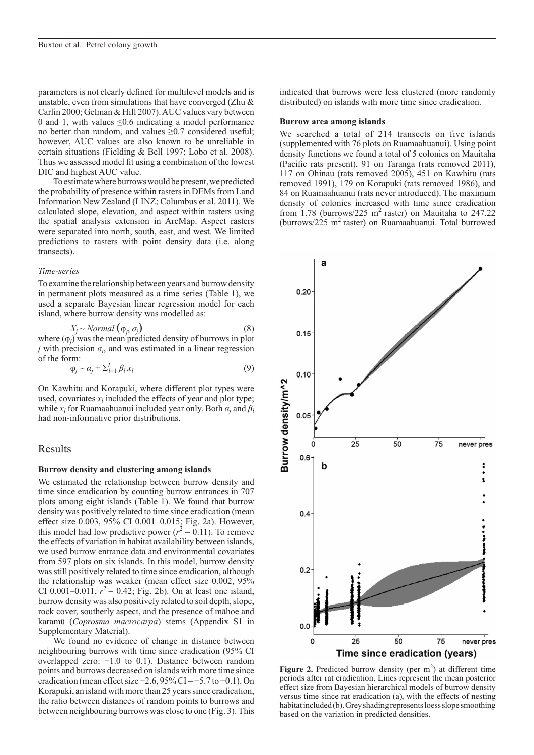parameters is not clearly defined for multilevel models and is unstable, even from simulations that have converged (Zhu & Carlin 2000; Gelman & Hill 2007). AUC values vary between 0 and 1, with values  $\leq 0.6$  indicating a model performance no better than random, and values ≥0.7 considered useful; however, AUC values are also known to be unreliable in certain situations (Fielding & Bell 1997; Lobo et al. 2008). Thus we assessed model fit using a combination of the lowest DIC and highest AUC value.

To estimate where burrows would be present, we predicted the probability of presence within rasters in DEMs from Land Information New Zealand (LINZ; Columbus et al. 2011). We calculated slope, elevation, and aspect within rasters using the spatial analysis extension in ArcMap. Aspect rasters were separated into north, south, east, and west. We limited predictions to rasters with point density data (i.e. along transects).

#### *Time-series*

To examine the relationship between years and burrow density in permanent plots measured as a time series (Table 1), we used a separate Bayesian linear regression model for each island, where burrow density was modelled as:

$$
X_j \sim Normal\left(\varphi_j, \sigma_j\right) \tag{8}
$$

where  $(\varphi_j)$  was the mean predicted density of burrows in plot *j* with precision  $\sigma_j$ , and was estimated in a linear regression of the form:

$$
\varphi_j \sim \alpha_j + \Sigma_{l=1}^L \beta_l x_l \tag{9}
$$

On Kawhitu and Korapuki, where different plot types were used, covariates  $x_l$  included the effects of year and plot type; while  $x_l$  for Ruamaahuanui included year only. Both  $\alpha_j$  and  $\beta_l$ had non-informative prior distributions.

### Results

#### **Burrow density and clustering among islands**

We estimated the relationship between burrow density and time since eradication by counting burrow entrances in 707 plots among eight islands (Table 1). We found that burrow density was positively related to time since eradication (mean effect size 0.003, 95% CI 0.001–0.015; Fig. 2a). However, this model had low predictive power  $(r^2 = 0.11)$ . To remove the effects of variation in habitat availability between islands, we used burrow entrance data and environmental covariates from 597 plots on six islands. In this model, burrow density was still positively related to time since eradication, although the relationship was weaker (mean effect size 0.002, 95% CI 0.001–0.011,  $r^2 = 0.42$ ; Fig. 2b). On at least one island, burrow density was also positively related to soil depth, slope, rock cover, southerly aspect, and the presence of māhoe and karamū (*Coprosma macrocarpa*) stems (Appendix S1 in Supplementary Material).

We found no evidence of change in distance between neighbouring burrows with time since eradication (95% CI overlapped zero: −1.0 to 0.1). Distance between random points and burrows decreased on islands with more time since eradication (mean effect size  $-2.6$ , 95% CI =  $-5.7$  to  $-0.1$ ). On Korapuki, an island with more than 25 years since eradication, the ratio between distances of random points to burrows and between neighbouring burrows was close to one (Fig. 3). This

indicated that burrows were less clustered (more randomly distributed) on islands with more time since eradication.

#### **Burrow area among islands**

We searched a total of 214 transects on five islands (supplemented with 76 plots on Ruamaahuanui). Using point density functions we found a total of 5 colonies on Mauitaha (Pacific rats present), 91 on Taranga (rats removed 2011), 117 on Ohinau (rats removed 2005), 451 on Kawhitu (rats removed 1991), 179 on Korapuki (rats removed 1986), and 84 on Ruamaahuanui (rats never introduced). The maximum density of colonies increased with time since eradication from 1.78 (burrows/225 m<sup>2</sup> raster) on Mauitaha to 247.22 (burrows/225 m<sup>2</sup> raster) on Ruamaahuanui. Total burrowed



Figure 2. Predicted burrow density (per m<sup>2</sup>) at different time periods after rat eradication. Lines represent the mean posterior effect size from Bayesian hierarchical models of burrow density versus time since rat eradication (a), with the effects of nesting habitat included (b). Grey shading represents loess slope smoothing based on the variation in predicted densities.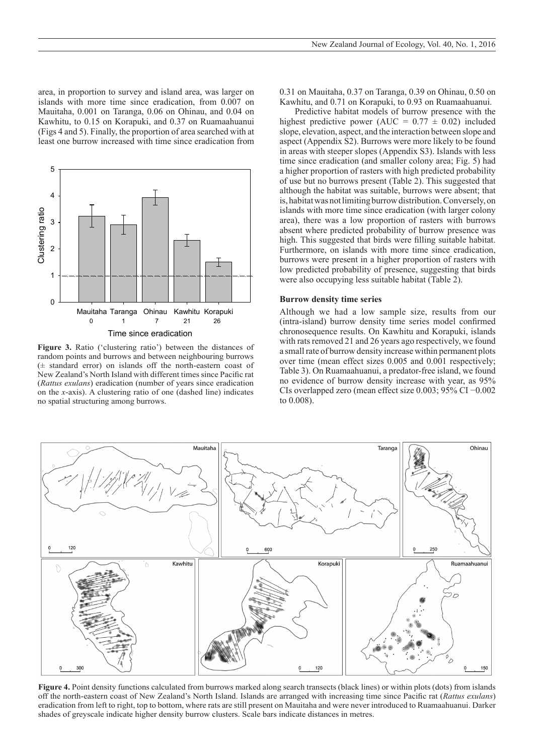area, in proportion to survey and island area, was larger on 43 islands with more time since eradication, from 0.007 on Mauitaha, 0.001 on Taranga, 0.06 on Ohinau, and 0.04 on Kawhitu, to 0.15 on Korapuki, and 0.37 on Ruamaahuanui (Figs 4 and 5). Finally, the proportion of area searched with at **Figure 3**  least one burrow increased with time since eradication from



**Figure 3.** Ratio ('clustering ratio') between the distances of random points and burrows and between neighbouring burrows (± standard error) on islands off the north-eastern coast of New Zealand's North Island with different times since Pacific rat (*Rattus exulans*) eradication (number of years since eradication on the *x*-axis). A clustering ratio of one (dashed line) indicates no spatial structuring among burrows.

0.31 on Mauitaha, 0.37 on Taranga, 0.39 on Ohinau, 0.50 on Kawhitu, and 0.71 on Korapuki, to 0.93 on Ruamaahuanui.

Predictive habitat models of burrow presence with the highest predictive power (AUC =  $0.77 \pm 0.02$ ) included slope, elevation, aspect, and the interaction between slope and aspect (Appendix S2). Burrows were more likely to be found in areas with steeper slopes (Appendix S3). Islands with less time since eradication (and smaller colony area; Fig. 5) had a higher proportion of rasters with high predicted probability of use but no burrows present (Table 2). This suggested that although the habitat was suitable, burrows were absent; that is, habitat was not limiting burrow distribution. Conversely, on islands with more time since eradication (with larger colony area), there was a low proportion of rasters with burrows absent where predicted probability of burrow presence was high. This suggested that birds were filling suitable habitat. Furthermore, on islands with more time since eradication, burrows were present in a higher proportion of rasters with low predicted probability of presence, suggesting that birds were also occupying less suitable habitat (Table 2).

#### **Burrow density time series**

Although we had a low sample size, results from our (intra-island) burrow density time series model confirmed chronosequence results. On Kawhitu and Korapuki, islands with rats removed 21 and 26 years ago respectively, we found a small rate of burrow density increase within permanent plots over time (mean effect sizes 0.005 and 0.001 respectively; Table 3). On Ruamaahuanui, a predator-free island, we found no evidence of burrow density increase with year, as 95% CIs overlapped zero (mean effect size 0.003; 95% CI −0.002 to 0.008).



**Figure 4.** Point density functions calculated from burrows marked along search transects (black lines) or within plots (dots) from islands off the north-eastern coast of New Zealand's North Island. Islands are arranged with increasing time since Pacific rat (*Rattus exulans*) eradication from left to right, top to bottom, where rats are still present on Mauitaha and were never introduced to Ruamaahuanui. Darker shades of greyscale indicate higher density burrow clusters. Scale bars indicate distances in metres.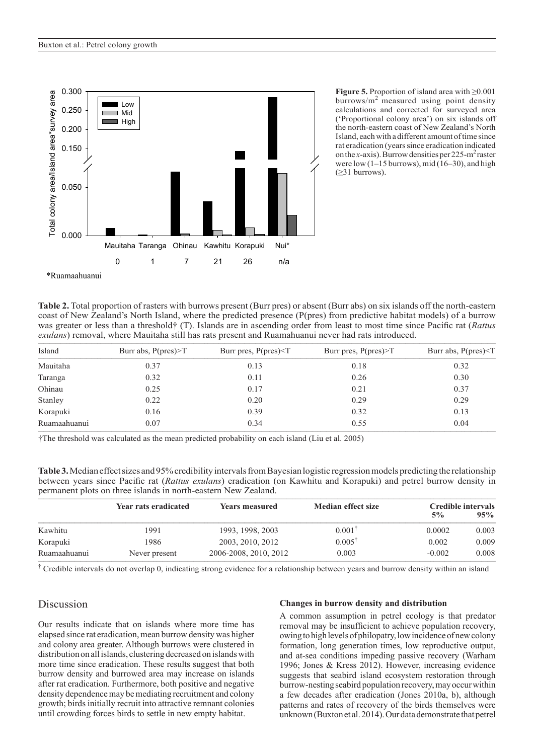

**Figure 5.** Proportion of island area with ≥0.001 burrows/ $m^2$  measured using point density calculations and corrected for surveyed area ('Proportional colony area') on six islands off the north-eastern coast of New Zealand's North Island, each with a different amount of time since rat eradication (years since eradication indicated on the *x*-axis). Burrow densities per  $225-m^2$  raster were low  $(1-15 \text{ burrows})$ , mid  $(16-30)$ , and high  $(\geq 31$  burrows).

**Table 2.** Total proportion of rasters with burrows present (Burr pres) or absent (Burr abs) on six islands off the north-eastern coast of New Zealand's North Island, where the predicted presence (P(pres) from predictive habitat models) of a burrow was greater or less than a threshold† (T). Islands are in ascending order from least to most time since Pacific rat (*Rattus*  exulans) removal, where Mauitaha still has rats present and Ruamahuanui never had rats introduced.

| Island       | Burr abs, $P(pres) > T$ | Burr pres, $P(pres) < T$ | Burr pres, $P(pres) > T$ | Burr abs, $P(pres) < T$ |  |
|--------------|-------------------------|--------------------------|--------------------------|-------------------------|--|
| Mauitaha     | 0.37                    | 0.13                     | 0.18                     | 0.32                    |  |
| Taranga      | 0.32                    | 0.11                     | 0.26                     | 0.30                    |  |
| Ohinau       | 0.25                    | 0.17                     | 0.21                     | 0.37                    |  |
| Stanley      | 0.22                    | 0.20                     | 0.29                     | 0.29                    |  |
| Korapuki     | 0.16                    | 0.39                     | 0.32                     | 0.13                    |  |
| Ruamaahuanui | 0.07                    | 0.34                     | 0.55                     | 0.04                    |  |

†The threshold was calculated as the mean predicted probability on each island (Liu et al. 2005)

**Table 3.** Median effect sizes and 95% credibility intervals from Bayesian logistic regression models predicting the relationship between years since Pacific rat (*Rattus exulans*) eradication (on Kawhitu and Korapuki) and petrel burrow density in permanent plots on three islands in north-eastern New Zealand.

|              | Year rats eradicated | <b>Years measured</b> | <b>Median effect size</b> | <b>Credible intervals</b> |       |
|--------------|----------------------|-----------------------|---------------------------|---------------------------|-------|
|              |                      |                       |                           | $5\%$                     | 95%   |
| Kawhitu      | 1991                 | 1993, 1998, 2003      | $0.001^{\dagger}$         | 0.0002                    | 0.003 |
| Korapuki     | 1986                 | 2003, 2010, 2012      | $0.005^{\dagger}$         | 0.002                     | 0.009 |
| Ruamaahuanui | Never present        | 2006-2008, 2010, 2012 | 0.003                     | $-0.002$                  | 0.008 |

<sup>†</sup> Credible intervals do not overlap 0, indicating strong evidence for a relationship between years and burrow density within an island

# Discussion

Our results indicate that on islands where more time has elapsed since rat eradication, mean burrow density was higher and colony area greater. Although burrows were clustered in distribution on all islands, clustering decreased on islands with more time since eradication. These results suggest that both burrow density and burrowed area may increase on islands after rat eradication. Furthermore, both positive and negative density dependence may be mediating recruitment and colony growth; birds initially recruit into attractive remnant colonies until crowding forces birds to settle in new empty habitat.

#### **Changes in burrow density and distribution**

A common assumption in petrel ecology is that predator removal may be insufficient to achieve population recovery, owing to high levels of philopatry, low incidence of new colony formation, long generation times, low reproductive output, and at-sea conditions impeding passive recovery (Warham 1996; Jones & Kress 2012). However, increasing evidence suggests that seabird island ecosystem restoration through burrow-nesting seabird population recovery, may occur within a few decades after eradication (Jones 2010a, b), although patterns and rates of recovery of the birds themselves were unknown (Buxton et al. 2014). Our data demonstrate that petrel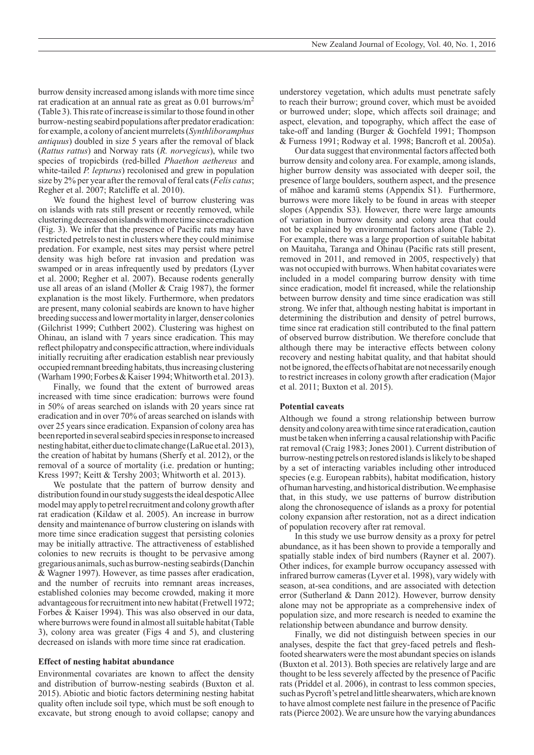burrow density increased among islands with more time since rat eradication at an annual rate as great as  $0.01$  burrows/m<sup>2</sup> (Table 3). This rate of increase is similar to those found in other burrow-nesting seabird populations after predator eradication: for example, a colony of ancient murrelets (*Synthliboramphus antiquus*) doubled in size 5 years after the removal of black (*Rattus rattus*) and Norway rats (*R. norvegicus*), while two species of tropicbirds (red-billed *Phaethon aethereus* and white-tailed *P. lepturus*) recolonised and grew in population size by 2% per year after the removal of feral cats (*Felis catus*; Regher et al. 2007; Ratcliffe et al. 2010).

We found the highest level of burrow clustering was on islands with rats still present or recently removed, while clustering decreased on islands with more time since eradication (Fig. 3). We infer that the presence of Pacific rats may have restricted petrels to nest in clusters where they could minimise predation. For example, nest sites may persist where petrel density was high before rat invasion and predation was swamped or in areas infrequently used by predators (Lyver et al. 2000; Regher et al. 2007). Because rodents generally use all areas of an island (Moller & Craig 1987), the former explanation is the most likely. Furthermore, when predators are present, many colonial seabirds are known to have higher breeding success and lower mortality in larger, denser colonies (Gilchrist 1999; Cuthbert 2002). Clustering was highest on Ohinau, an island with 7 years since eradication. This may reflect philopatry and conspecific attraction, where individuals initially recruiting after eradication establish near previously occupied remnant breeding habitats, thus increasing clustering (Warham 1990; Forbes & Kaiser 1994; Whitworth et al. 2013).

Finally, we found that the extent of burrowed areas increased with time since eradication: burrows were found in 50% of areas searched on islands with 20 years since rat eradication and in over 70% of areas searched on islands with over 25 years since eradication. Expansion of colony area has been reported in several seabird species in response to increased nesting habitat, either due to climate change (LaRue etal. 2013), the creation of habitat by humans (Sherfy et al. 2012), or the removal of a source of mortality (i.e. predation or hunting; Kress 1997; Keitt & Tershy 2003; Whitworth et al. 2013).

We postulate that the pattern of burrow density and distribution found in our study suggests the ideal despotic Allee model may apply to petrel recruitment and colony growth after rat eradication (Kildaw et al. 2005). An increase in burrow density and maintenance of burrow clustering on islands with more time since eradication suggest that persisting colonies may be initially attractive. The attractiveness of established colonies to new recruits is thought to be pervasive among gregarious animals, such as burrow-nesting seabirds (Danchin & Wagner 1997). However, as time passes after eradication, and the number of recruits into remnant areas increases, established colonies may become crowded, making it more advantageous for recruitment into new habitat (Fretwell 1972; Forbes & Kaiser 1994). This was also observed in our data, where burrows were found in almost all suitable habitat (Table 3), colony area was greater (Figs 4 and 5), and clustering decreased on islands with more time since rat eradication.

#### **Effect of nesting habitat abundance**

Environmental covariates are known to affect the density and distribution of burrow-nesting seabirds (Buxton et al. 2015). Abiotic and biotic factors determining nesting habitat quality often include soil type, which must be soft enough to excavate, but strong enough to avoid collapse; canopy and understorey vegetation, which adults must penetrate safely to reach their burrow; ground cover, which must be avoided or burrowed under; slope, which affects soil drainage; and aspect, elevation, and topography, which affect the ease of take-off and landing (Burger & Gochfeld 1991; Thompson & Furness 1991; Rodway et al. 1998; Bancroft et al. 2005a).

Our data suggest that environmental factors affected both burrow density and colony area. For example, among islands, higher burrow density was associated with deeper soil, the presence of large boulders, southern aspect, and the presence of māhoe and karamū stems (Appendix S1). Furthermore, burrows were more likely to be found in areas with steeper slopes (Appendix S3). However, there were large amounts of variation in burrow density and colony area that could not be explained by environmental factors alone (Table 2). For example, there was a large proportion of suitable habitat on Mauitaha, Taranga and Ohinau (Pacific rats still present, removed in 2011, and removed in 2005, respectively) that was not occupied with burrows. When habitat covariates were included in a model comparing burrow density with time since eradication, model fit increased, while the relationship between burrow density and time since eradication was still strong. We infer that, although nesting habitat is important in determining the distribution and density of petrel burrows, time since rat eradication still contributed to the final pattern of observed burrow distribution. We therefore conclude that although there may be interactive effects between colony recovery and nesting habitat quality, and that habitat should not be ignored, the effects of habitat are not necessarily enough to restrict increases in colony growth after eradication (Major et al. 2011; Buxton et al. 2015).

#### **Potential caveats**

Although we found a strong relationship between burrow density and colony area with time since rat eradication, caution must be taken when inferring a causal relationship with Pacific rat removal (Craig 1983; Jones 2001). Current distribution of burrow-nesting petrels on restored islands is likely to be shaped by a set of interacting variables including other introduced species (e.g. European rabbits), habitat modification, history of human harvesting, and historical distribution. We emphasise that, in this study, we use patterns of burrow distribution along the chronosequence of islands as a proxy for potential colony expansion after restoration, not as a direct indication of population recovery after rat removal.

In this study we use burrow density as a proxy for petrel abundance, as it has been shown to provide a temporally and spatially stable index of bird numbers (Rayner et al. 2007). Other indices, for example burrow occupancy assessed with infrared burrow cameras (Lyver et al. 1998), vary widely with season, at-sea conditions, and are associated with detection error (Sutherland & Dann 2012). However, burrow density alone may not be appropriate as a comprehensive index of population size, and more research is needed to examine the relationship between abundance and burrow density.

Finally, we did not distinguish between species in our analyses, despite the fact that grey-faced petrels and fleshfooted shearwaters were the most abundant species on islands (Buxton et al. 2013). Both species are relatively large and are thought to be less severely affected by the presence of Pacific rats (Priddel et al. 2006), in contrast to less common species, such as Pycroft's petrel and little shearwaters, which are known to have almost complete nest failure in the presence of Pacific rats (Pierce 2002). We are unsure how the varying abundances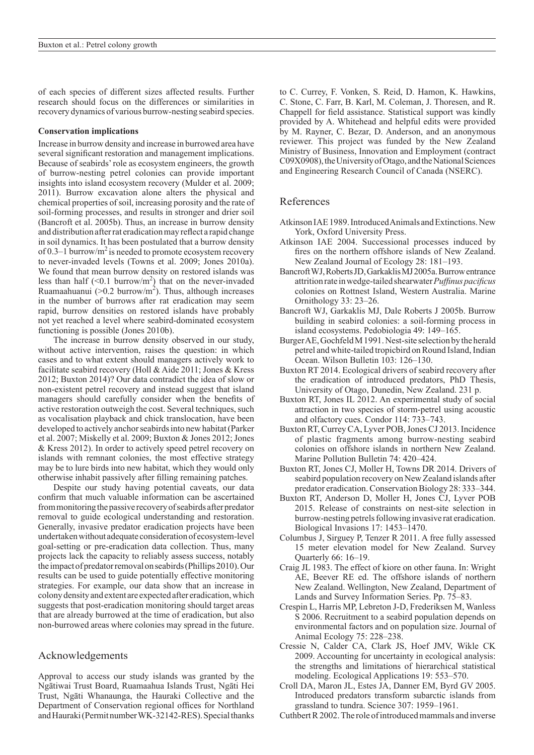of each species of different sizes affected results. Further research should focus on the differences or similarities in recovery dynamics of various burrow-nesting seabird species.

#### **Conservation implications**

Increase in burrow density and increase in burrowed area have several significant restoration and management implications. Because of seabirds' role as ecosystem engineers, the growth of burrow-nesting petrel colonies can provide important insights into island ecosystem recovery (Mulder et al. 2009; 2011). Burrow excavation alone alters the physical and chemical properties of soil, increasing porosity and the rate of soil-forming processes, and results in stronger and drier soil (Bancroft et al. 2005b). Thus, an increase in burrow density and distribution after rat eradication may reflect a rapid change in soil dynamics. It has been postulated that a burrow density of 0.3–1 burrow/ $m^2$  is needed to promote ecosystem recovery to never-invaded levels (Towns et al. 2009; Jones 2010a). We found that mean burrow density on restored islands was less than half  $(<0.1 \text{ burrow/m}^2)$  that on the never-invaded Ruamaahuanui ( $>0.2$  burrow/m<sup>2</sup>). Thus, although increases in the number of burrows after rat eradication may seem rapid, burrow densities on restored islands have probably not yet reached a level where seabird-dominated ecosystem functioning is possible (Jones 2010b).

The increase in burrow density observed in our study, without active intervention, raises the question: in which cases and to what extent should managers actively work to facilitate seabird recovery (Holl & Aide 2011; Jones & Kress 2012; Buxton 2014)? Our data contradict the idea of slow or non-existent petrel recovery and instead suggest that island managers should carefully consider when the benefits of active restoration outweigh the cost. Several techniques, such as vocalisation playback and chick translocation, have been developed to actively anchor seabirds into new habitat (Parker et al. 2007; Miskelly et al. 2009; Buxton & Jones 2012; Jones & Kress 2012). In order to actively speed petrel recovery on islands with remnant colonies, the most effective strategy may be to lure birds into new habitat, which they would only otherwise inhabit passively after filling remaining patches.

Despite our study having potential caveats, our data confirm that much valuable information can be ascertained from monitoring the passive recovery of seabirds after predator removal to guide ecological understanding and restoration. Generally, invasive predator eradication projects have been undertaken without adequate consideration of ecosystem-level goal-setting or pre-eradication data collection. Thus, many projects lack the capacity to reliably assess success, notably the impact of predator removal on seabirds (Phillips 2010). Our results can be used to guide potentially effective monitoring strategies. For example, our data show that an increase in colony density and extent are expected after eradication, which suggests that post-eradication monitoring should target areas that are already burrowed at the time of eradication, but also non-burrowed areas where colonies may spread in the future.

# Acknowledgements

Approval to access our study islands was granted by the Ngātiwai Trust Board, Ruamaahua Islands Trust, Ngāti Hei Trust, Ngāti Whanaunga, the Hauraki Collective and the Department of Conservation regional offices for Northland and Hauraki (Permit number WK-32142-RES). Special thanks

to C. Currey, F. Vonken, S. Reid, D. Hamon, K. Hawkins, C. Stone, C. Farr, B. Karl, M. Coleman, J. Thoresen, and R. Chappell for field assistance. Statistical support was kindly provided by A. Whitehead and helpful edits were provided by M. Rayner, C. Bezar, D. Anderson, and an anonymous reviewer. This project was funded by the New Zealand Ministry of Business, Innovation and Employment (contract C09X0908), the University of Otago, and the National Sciences and Engineering Research Council of Canada (NSERC).

## References

- Atkinson IAE 1989. Introduced Animals and Extinctions. New York, Oxford University Press.
- Atkinson IAE 2004. Successional processes induced by fires on the northern offshore islands of New Zealand. New Zealand Journal of Ecology 28: 181–193.
- Bancroft WJ, Roberts JD, Garkaklis MJ 2005a. Burrow entrance attrition rate in wedge-tailed shearwater *Puffinus pacificus*  colonies on Rottnest Island, Western Australia. Marine Ornithology 33: 23–26.
- Bancroft WJ, Garkaklis MJ, Dale Roberts J 2005b. Burrow building in seabird colonies: a soil-forming process in island ecosystems. Pedobiologia 49: 149–165.
- Burger AE, Gochfeld M 1991. Nest-site selection by the herald petrel and white-tailed tropicbird on Round Island, Indian Ocean. Wilson Bulletin 103: 126–130.
- Buxton RT 2014. Ecological drivers of seabird recovery after the eradication of introduced predators, PhD Thesis, University of Otago, Dunedin, New Zealand. 231 p.
- Buxton RT, Jones IL 2012. An experimental study of social attraction in two species of storm-petrel using acoustic and olfactory cues. Condor 114: 733–743.
- Buxton RT, Currey CA, Lyver POB, Jones CJ 2013. Incidence of plastic fragments among burrow-nesting seabird colonies on offshore islands in northern New Zealand. Marine Pollution Bulletin 74: 420–424.
- Buxton RT, Jones CJ, Moller H, Towns DR 2014. Drivers of seabird population recovery on New Zealand islands after predator eradication. Conservation Biology 28: 333–344.
- Buxton RT, Anderson D, Moller H, Jones CJ, Lyver POB 2015. Release of constraints on nest-site selection in burrow-nesting petrels following invasive rat eradication. Biological Invasions 17: 1453–1470.
- Columbus J, Sirguey P, Tenzer R 2011. A free fully assessed 15 meter elevation model for New Zealand. Survey Quarterly 66: 16–19.
- Craig JL 1983. The effect of kiore on other fauna. In: Wright AE, Beever RE ed. The offshore islands of northern New Zealand. Wellington, New Zealand, Department of Lands and Survey Information Series. Pp. 75–83.
- Crespin L, Harris MP, Lebreton J-D, Frederiksen M, Wanless S 2006. Recruitment to a seabird population depends on environmental factors and on population size. Journal of Animal Ecology 75: 228–238.
- Cressie N, Calder CA, Clark JS, Hoef JMV, Wikle CK 2009. Accounting for uncertainty in ecological analysis: the strengths and limitations of hierarchical statistical modeling. Ecological Applications 19: 553–570.
- Croll DA, Maron JL, Estes JA, Danner EM, Byrd GV 2005. Introduced predators transform subarctic islands from grassland to tundra. Science 307: 1959–1961.
- Cuthbert R 2002. The role of introduced mammals and inverse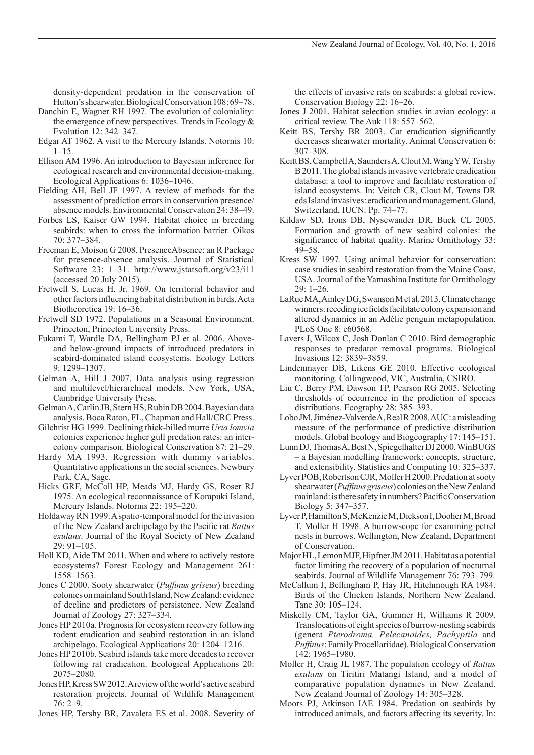density-dependent predation in the conservation of Hutton's shearwater. Biological Conservation 108: 69–78.

- Danchin E, Wagner RH 1997. The evolution of coloniality: the emergence of new perspectives. Trends in Ecology & Evolution 12: 342–347.
- Edgar AT 1962. A visit to the Mercury Islands. Notornis 10:  $1 - 15$ .
- Ellison AM 1996. An introduction to Bayesian inference for ecological research and environmental decision-making. Ecological Applications 6: 1036–1046.
- Fielding AH, Bell JF 1997. A review of methods for the assessment of prediction errors in conservation presence/ absence models. Environmental Conservation 24: 38–49.
- Forbes LS, Kaiser GW 1994. Habitat choice in breeding seabirds: when to cross the information barrier. Oikos 70: 377–384.
- Freeman E, Moison G 2008. PresenceAbsence: an R Package for presence-absence analysis. Journal of Statistical Software 23: 1–31. http://www.jstatsoft.org/v23/i11 (accessed 20 July 2015).
- Fretwell S, Lucas H, Jr. 1969. On territorial behavior and other factors influencing habitat distribution in birds. Acta Biotheoretica 19: 16–36.
- Fretwell SD 1972. Populations in a Seasonal Environment. Princeton, Princeton University Press.
- Fukami T, Wardle DA, Bellingham PJ et al. 2006. Aboveand below-ground impacts of introduced predators in seabird-dominated island ecosystems. Ecology Letters 9: 1299–1307.
- Gelman A, Hill J 2007. Data analysis using regression and multilevel/hierarchical models. New York, USA, Cambridge University Press.
- Gelman A, Carlin JB, Stern HS, Rubin DB 2004. Bayesian data analysis. Boca Raton, FL, Chapman and Hall/CRC Press.
- Gilchrist HG 1999. Declining thick-billed murre *Uria lomvia* colonies experience higher gull predation rates: an intercolony comparison. Biological Conservation 87: 21–29.
- Hardy MA 1993. Regression with dummy variables. Quantitative applications in the social sciences. Newbury Park, CA, Sage.
- Hicks GRF, McColl HP, Meads MJ, Hardy GS, Roser RJ 1975. An ecological reconnaissance of Korapuki Island, Mercury Islands. Notornis 22: 195–220.
- Holdaway RN 1999. A spatio-temporal model for the invasion of the New Zealand archipelago by the Pacific rat *Rattus exulans*. Journal of the Royal Society of New Zealand 29: 91–105.
- Holl KD, Aide TM 2011. When and where to actively restore ecosystems? Forest Ecology and Management 261: 1558–1563.
- Jones C 2000. Sooty shearwater (*Puffinus griseus*) breeding colonies on mainland South Island, NewZealand: evidence of decline and predictors of persistence. New Zealand Journal of Zoology 27: 327–334.
- Jones HP 2010a. Prognosis for ecosystem recovery following rodent eradication and seabird restoration in an island archipelago. Ecological Applications 20: 1204–1216.
- Jones HP 2010b. Seabird islands take mere decades to recover following rat eradication. Ecological Applications 20: 2075–2080.
- Jones HP, Kress SW 2012. A review of the world's active seabird restoration projects. Journal of Wildlife Management 76: 2–9.
- Jones HP, Tershy BR, Zavaleta ES et al. 2008. Severity of

the effects of invasive rats on seabirds: a global review. Conservation Biology 22: 16–26.

- Jones J 2001. Habitat selection studies in avian ecology: a critical review. The Auk 118: 557–562.
- Keitt BS, Tershy BR 2003. Cat eradication significantly decreases shearwater mortality. Animal Conservation 6: 307–308.
- Keitt BS, Campbell A, Saunders A, Clout M, Wang YW, Tershy B 2011. The global islands invasive vertebrate eradication database: a tool to improve and facilitate restoration of island ecosystems. In: Veitch CR, Clout M, Towns DR eds Island invasives: eradication and management. Gland, Switzerland, IUCN. Pp. 74–77.
- Kildaw SD, Irons DB, Nysewander DR, Buck CL 2005. Formation and growth of new seabird colonies: the significance of habitat quality. Marine Ornithology 33: 49–58.
- Kress SW 1997. Using animal behavior for conservation: case studies in seabird restoration from the Maine Coast, USA. Journal of the Yamashina Institute for Ornithology 29: 1–26.
- LaRue MA, Ainley DG, Swanson M etal. 2013. Climate change winners: receding ice fields facilitate colony expansion and altered dynamics in an Adélie penguin metapopulation. PLoS One 8: e60568.
- Lavers J, Wilcox C, Josh Donlan C 2010. Bird demographic responses to predator removal programs. Biological Invasions 12: 3839–3859.
- Lindenmayer DB, Likens GE 2010. Effective ecological monitoring. Collingwood, VIC, Australia, CSIRO.
- Liu C, Berry PM, Dawson TP, Pearson RG 2005. Selecting thresholds of occurrence in the prediction of species distributions. Ecography 28: 385–393.
- Lobo JM, Jiménez-Valverde A, Real R 2008. AUC: a misleading measure of the performance of predictive distribution models. Global Ecology and Biogeography 17: 145–151.
- Lunn DJ, Thomas A, Best N, Spiegelhalter DJ 2000. WinBUGS – a Bayesian modelling framework: concepts, structure, and extensibility. Statistics and Computing 10: 325–337.
- Lyver POB, Robertson CJR, Moller H 2000. Predation at sooty shearwater (*Puffinus griseus*) colonies on the NewZealand mainland: is there safety in numbers? Pacific Conservation Biology 5: 347–357.
- Lyver P, Hamilton S, McKenzie M, Dickson I, Dooher M, Broad T, Moller H 1998. A burrowscope for examining petrel nests in burrows. Wellington, New Zealand, Department of Conservation.
- Major HL, Lemon MJF, Hipfner JM 2011. Habitat as a potential factor limiting the recovery of a population of nocturnal seabirds. Journal of Wildlife Management 76: 793–799.
- McCallum J, Bellingham P, Hay JR, Hitchmough RA 1984. Birds of the Chicken Islands, Northern New Zealand. Tane 30: 105–124.
- Miskelly CM, Taylor GA, Gummer H, Williams R 2009. Translocations of eight species of burrow-nesting seabirds (genera *Pterodroma, Pelecanoides, Pachyptila* and *Puffinus*: Family Procellariidae). Biological Conservation 142: 1965–1980.
- Moller H, Craig JL 1987. The population ecology of *Rattus exulans* on Tiritiri Matangi Island, and a model of comparative population dynamics in New Zealand. New Zealand Journal of Zoology 14: 305–328.
- Moors PJ, Atkinson IAE 1984. Predation on seabirds by introduced animals, and factors affecting its severity. In: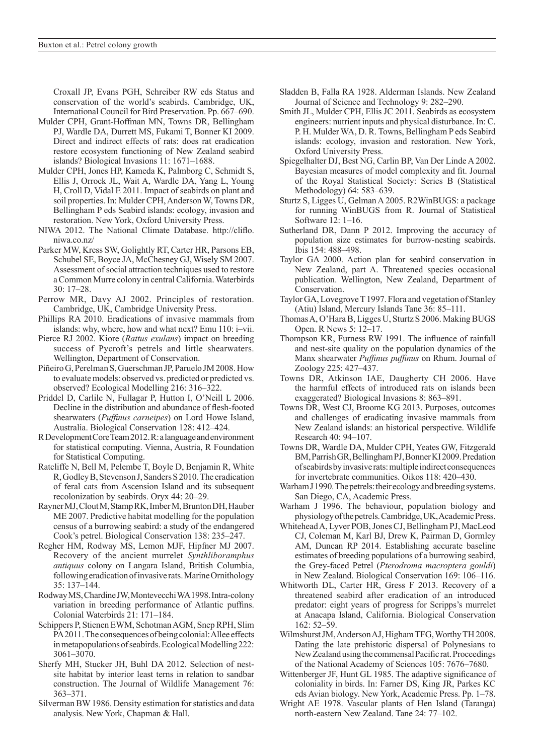Croxall JP, Evans PGH, Schreiber RW eds Status and conservation of the world's seabirds. Cambridge, UK, International Council for Bird Preservation. Pp. 667–690.

- Mulder CPH, Grant-Hoffman MN, Towns DR, Bellingham PJ, Wardle DA, Durrett MS, Fukami T, Bonner KI 2009. Direct and indirect effects of rats: does rat eradication restore ecosystem functioning of New Zealand seabird islands? Biological Invasions 11: 1671–1688.
- Mulder CPH, Jones HP, Kameda K, Palmborg C, Schmidt S, Ellis J, Orrock JL, Wait A, Wardle DA, Yang L, Young H, Croll D, Vidal E 2011. Impact of seabirds on plant and soil properties. In: Mulder CPH, Anderson W, Towns DR, Bellingham P eds Seabird islands: ecology, invasion and restoration. New York, Oxford University Press.
- NIWA 2012. The National Climate Database. http://cliflo. niwa.co.nz/
- Parker MW, Kress SW, Golightly RT, Carter HR, Parsons EB, Schubel SE, Boyce JA, McChesney GJ, Wisely SM 2007. Assessment of social attraction techniques used to restore a Common Murre colony in central California. Waterbirds 30: 17–28.
- Perrow MR, Davy AJ 2002. Principles of restoration. Cambridge, UK, Cambridge University Press.
- Phillips RA 2010. Eradications of invasive mammals from islands: why, where, how and what next? Emu 110: i–vii.
- Pierce RJ 2002. Kiore (*Rattus exulans*) impact on breeding success of Pycroft's petrels and little shearwaters. Wellington, Department of Conservation.
- Piñeiro G, Perelman S, Guerschman JP, Paruelo JM 2008. How to evaluate models: observed vs. predicted or predicted vs. observed? Ecological Modelling 216: 316–322.
- Priddel D, Carlile N, Fullagar P, Hutton I, O'Neill L 2006. Decline in the distribution and abundance of flesh-footed shearwaters (*Puffinus carneipes*) on Lord Howe Island, Australia. Biological Conservation 128: 412–424.
- R Development Core Team 2012. R: a language and environment for statistical computing. Vienna, Austria, R Foundation for Statistical Computing.
- Ratcliffe N, Bell M, Pelembe T, Boyle D, Benjamin R, White R, Godley B, Stevenson J, Sanders S 2010. The eradication of feral cats from Ascension Island and its subsequent recolonization by seabirds. Oryx 44: 20–29.
- Rayner MJ, Clout M, Stamp RK, Imber M, Brunton DH, Hauber ME 2007. Predictive habitat modelling for the population census of a burrowing seabird: a study of the endangered Cook's petrel. Biological Conservation 138: 235–247.
- Regher HM, Rodway MS, Lemon MJF, Hipfner MJ 2007. Recovery of the ancient murrelet *Synthliboramphus antiquus* colony on Langara Island, British Columbia, following eradication of invasive rats. Marine Ornithology 35: 137–144.
- Rodway MS, Chardine JW, Montevecchi WA 1998. Intra-colony variation in breeding performance of Atlantic puffins. Colonial Waterbirds 21: 171–184.
- Schippers P, Stienen EWM, Schotman AGM, Snep RPH, Slim PA 2011. The consequences of being colonial: Allee effects in metapopulations of seabirds. Ecological Modelling 222: 3061–3070.
- Sherfy MH, Stucker JH, Buhl DA 2012. Selection of nestsite habitat by interior least terns in relation to sandbar construction. The Journal of Wildlife Management 76: 363–371.
- Silverman BW 1986. Density estimation for statistics and data analysis. New York, Chapman & Hall.
- Sladden B, Falla RA 1928. Alderman Islands. New Zealand Journal of Science and Technology 9: 282–290.
- Smith JL, Mulder CPH, Ellis JC 2011. Seabirds as ecosystem engineers: nutrient inputs and physical disturbance. In: C. P. H. Mulder WA, D. R. Towns, Bellingham P eds Seabird islands: ecology, invasion and restoration. New York, Oxford University Press.
- Spiegelhalter DJ, Best NG, Carlin BP, Van Der Linde A 2002. Bayesian measures of model complexity and fit. Journal of the Royal Statistical Society: Series B (Statistical Methodology) 64: 583–639.
- Sturtz S, Ligges U, Gelman A 2005. R2WinBUGS: a package for running WinBUGS from R. Journal of Statistical Software 12: 1–16.
- Sutherland DR, Dann P 2012. Improving the accuracy of population size estimates for burrow-nesting seabirds. Ibis 154: 488–498.
- Taylor GA 2000. Action plan for seabird conservation in New Zealand, part A. Threatened species occasional publication. Wellington, New Zealand, Department of Conservation.
- Taylor GA, Lovegrove T 1997. Flora and vegetation of Stanley (Atiu) Island, Mercury Islands Tane 36: 85–111.
- Thomas A, O'Hara B, Ligges U, Sturtz S 2006. Making BUGS Open. R News 5: 12–17.
- Thompson KR, Furness RW 1991. The influence of rainfall and nest-site quality on the population dynamics of the Manx shearwater *Puffinus puffinus* on Rhum. Journal of Zoology 225: 427–437.
- Towns DR, Atkinson IAE, Daugherty CH 2006. Have the harmful effects of introduced rats on islands been exaggerated? Biological Invasions 8: 863–891.
- Towns DR, West CJ, Broome KG 2013. Purposes, outcomes and challenges of eradicating invasive mammals from New Zealand islands: an historical perspective. Wildlife Research 40: 94–107.
- Towns DR, Wardle DA, Mulder CPH, Yeates GW, Fitzgerald BM, Parrish GR, Bellingham PJ, Bonner KI 2009. Predation of seabirds by invasive rats: multiple indirect consequences for invertebrate communities. Oikos 118: 420–430.
- Warham J 1990. The petrels: their ecology and breeding systems. San Diego, CA, Academic Press.
- Warham J 1996. The behaviour, population biology and physiology of the petrels. Cambridge, UK, Academic Press.
- Whitehead A, Lyver POB, Jones CJ, Bellingham PJ, MacLeod CJ, Coleman M, Karl BJ, Drew K, Pairman D, Gormley AM, Duncan RP 2014. Establishing accurate baseline estimates of breeding populations of a burrowing seabird, the Grey-faced Petrel (*Pterodroma macroptera gouldi*) in New Zealand. Biological Conservation 169: 106–116.
- Whitworth DL, Carter HR, Gress F 2013. Recovery of a threatened seabird after eradication of an introduced predator: eight years of progress for Scripps's murrelet at Anacapa Island, California. Biological Conservation 162: 52–59.
- Wilmshurst JM, Anderson AJ, Higham TFG, Worthy TH 2008. Dating the late prehistoric dispersal of Polynesians to NewZealand using the commensal Pacific rat. Proceedings of the National Academy of Sciences 105: 7676–7680.
- Wittenberger JF, Hunt GL 1985. The adaptive significance of coloniality in birds. In: Farner DS, King JR, Parkes KC eds Avian biology. New York, Academic Press. Pp. 1–78.
- Wright AE 1978. Vascular plants of Hen Island (Taranga) north-eastern New Zealand. Tane 24: 77–102.